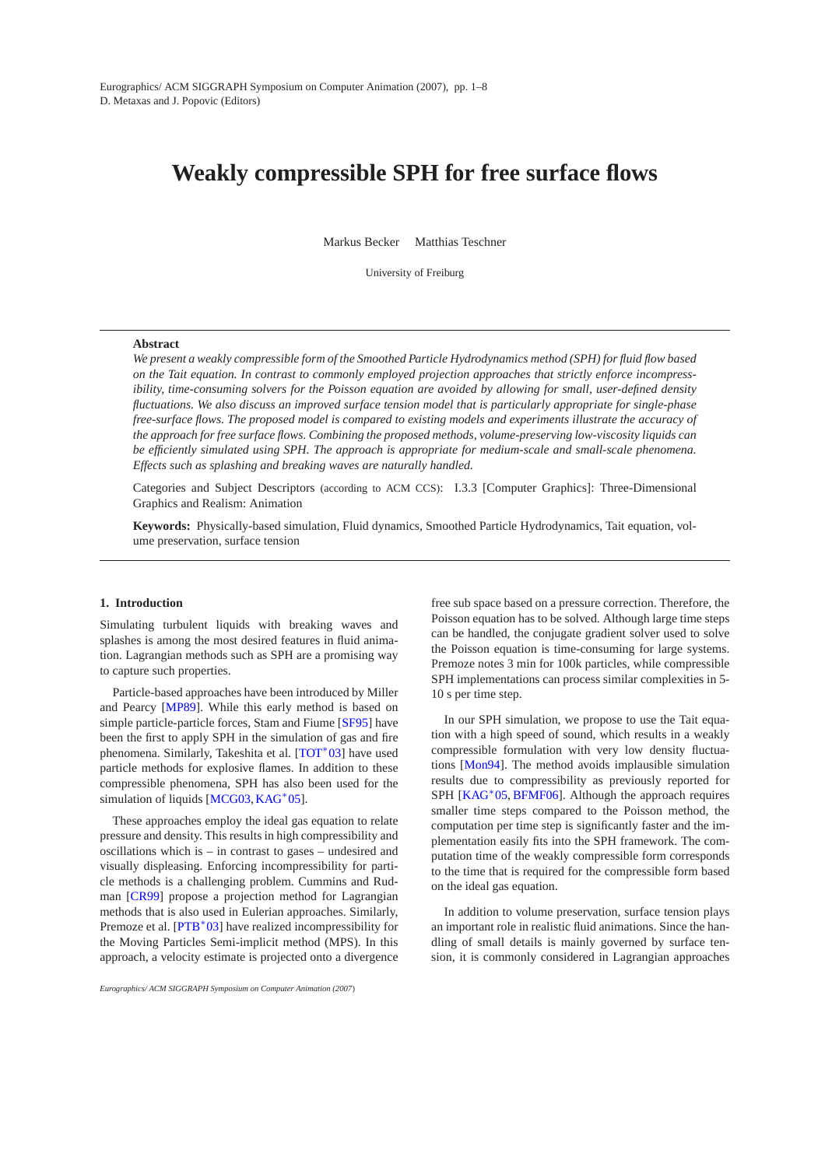# **Weakly compressible SPH for free surface flows**

Markus Becker Matthias Teschner

University of Freiburg

## **Abstract**

*We present a weakly compressible form of the Smoothed Particle Hydrodynamics method (SPH) for fluid flow based on the Tait equation. In contrast to commonly employed projection approaches that strictly enforce incompressibility, time-consuming solvers for the Poisson equation are avoided by allowing for small, user-defined density fluctuations. We also discuss an improved surface tension model that is particularly appropriate for single-phase free-surface flows. The proposed model is compared to existing models and experiments illustrate the accuracy of the approach for free surface flows. Combining the proposed methods, volume-preserving low-viscosity liquids can be efficiently simulated using SPH. The approach is appropriate for medium-scale and small-scale phenomena. Effects such as splashing and breaking waves are naturally handled.*

Categories and Subject Descriptors (according to ACM CCS): I.3.3 [Computer Graphics]: Three-Dimensional Graphics and Realism: Animation

**Keywords:** Physically-based simulation, Fluid dynamics, Smoothed Particle Hydrodynamics, Tait equation, volume preservation, surface tension

## **1. Introduction**

Simulating turbulent liquids with breaking waves and splashes is among the most desired features in fluid animation. Lagrangian methods such as SPH are a promising way to capture such properties.

Particle-based approaches have been introduced by Miller and Pearcy [\[MP89\]](#page-6-0). While this early method is based on simple particle-particle forces, Stam and Fiume [\[SF95\]](#page-7-0) have been the first to apply SPH in the simulation of gas and fire phenomena. Similarly, Takeshita et al. [\[TOT](#page-7-1)<sup>\*</sup>03] have used particle methods for explosive flames. In addition to these compressible phenomena, SPH has also been used for the simulation of liquids [\[MCG03,](#page-6-1) [KAG](#page-6-2)<sup>\*</sup>05].

These approaches employ the ideal gas equation to relate pressure and density. This results in high compressibility and oscillations which is – in contrast to gases – undesired and visually displeasing. Enforcing incompressibility for particle methods is a challenging problem. Cummins and Rudman [\[CR99\]](#page-6-3) propose a projection method for Lagrangian methods that is also used in Eulerian approaches. Similarly, Premoze et al. [\[PTB](#page-7-2)<sup>\*03]</sup> have realized incompressibility for the Moving Particles Semi-implicit method (MPS). In this approach, a velocity estimate is projected onto a divergence

*Eurographics/ ACM SIGGRAPH Symposium on Computer Animation (2007*)

free sub space based on a pressure correction. Therefore, the Poisson equation has to be solved. Although large time steps can be handled, the conjugate gradient solver used to solve the Poisson equation is time-consuming for large systems. Premoze notes 3 min for 100k particles, while compressible SPH implementations can process similar complexities in 5- 10 s per time step.

In our SPH simulation, we propose to use the Tait equation with a high speed of sound, which results in a weakly compressible formulation with very low density fluctuations [\[Mon94\]](#page-6-4). The method avoids implausible simulation results due to compressibility as previously reported for SPH [\[KAG](#page-6-2)<sup>\*</sup>05, [BFMF06\]](#page-5-0). Although the approach requires smaller time steps compared to the Poisson method, the computation per time step is significantly faster and the implementation easily fits into the SPH framework. The computation time of the weakly compressible form corresponds to the time that is required for the compressible form based on the ideal gas equation.

In addition to volume preservation, surface tension plays an important role in realistic fluid animations. Since the handling of small details is mainly governed by surface tension, it is commonly considered in Lagrangian approaches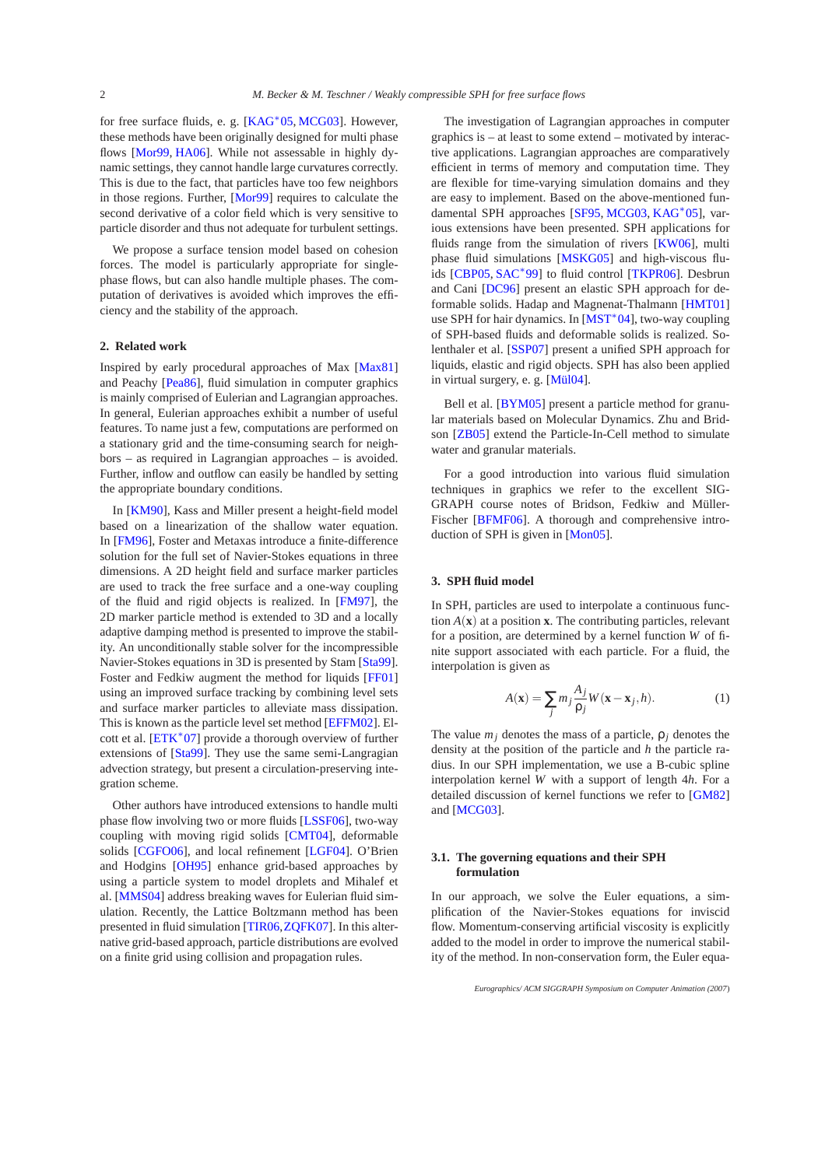for free surface fluids, e. g. [\[KAG](#page-6-2)<sup>\*</sup>05, [MCG03\]](#page-6-1). However, these methods have been originally designed for multi phase flows [\[Mor99,](#page-6-5) [HA06\]](#page-6-6). While not assessable in highly dynamic settings, they cannot handle large curvatures correctly. This is due to the fact, that particles have too few neighbors in those regions. Further, [\[Mor99\]](#page-6-5) requires to calculate the second derivative of a color field which is very sensitive to particle disorder and thus not adequate for turbulent settings.

We propose a surface tension model based on cohesion forces. The model is particularly appropriate for singlephase flows, but can also handle multiple phases. The computation of derivatives is avoided which improves the efficiency and the stability of the approach.

# **2. Related work**

Inspired by early procedural approaches of Max [\[Max81\]](#page-6-7) and Peachy [\[Pea86\]](#page-6-8), fluid simulation in computer graphics is mainly comprised of Eulerian and Lagrangian approaches. In general, Eulerian approaches exhibit a number of useful features. To name just a few, computations are performed on a stationary grid and the time-consuming search for neighbors – as required in Lagrangian approaches – is avoided. Further, inflow and outflow can easily be handled by setting the appropriate boundary conditions.

In [\[KM90\]](#page-6-9), Kass and Miller present a height-field model based on a linearization of the shallow water equation. In [\[FM96\]](#page-6-10), Foster and Metaxas introduce a finite-difference solution for the full set of Navier-Stokes equations in three dimensions. A 2D height field and surface marker particles are used to track the free surface and a one-way coupling of the fluid and rigid objects is realized. In [\[FM97\]](#page-6-11), the 2D marker particle method is extended to 3D and a locally adaptive damping method is presented to improve the stability. An unconditionally stable solver for the incompressible Navier-Stokes equations in 3D is presented by Stam [\[Sta99\]](#page-7-3). Foster and Fedkiw augment the method for liquids [\[FF01\]](#page-6-12) using an improved surface tracking by combining level sets and surface marker particles to alleviate mass dissipation. This is known as the particle level set method [\[EFFM02\]](#page-6-13). El-cott et al. [\[ETK](#page-6-14)<sup>\*</sup>07] provide a thorough overview of further extensions of [\[Sta99\]](#page-7-3). They use the same semi-Langragian advection strategy, but present a circulation-preserving integration scheme.

Other authors have introduced extensions to handle multi phase flow involving two or more fluids [\[LSSF06\]](#page-6-15), two-way coupling with moving rigid solids [\[CMT04\]](#page-6-16), deformable solids [\[CGFO06\]](#page-5-1), and local refinement [\[LGF04\]](#page-6-17). O'Brien and Hodgins [\[OH95\]](#page-6-18) enhance grid-based approaches by using a particle system to model droplets and Mihalef et al. [\[MMS04\]](#page-6-19) address breaking waves for Eulerian fluid simulation. Recently, the Lattice Boltzmann method has been presented in fluid simulation [\[TIR06,](#page-7-4)[ZQFK07\]](#page-7-5). In this alternative grid-based approach, particle distributions are evolved on a finite grid using collision and propagation rules.

The investigation of Lagrangian approaches in computer graphics is – at least to some extend – motivated by interactive applications. Lagrangian approaches are comparatively efficient in terms of memory and computation time. They are flexible for time-varying simulation domains and they are easy to implement. Based on the above-mentioned fundamental SPH approaches [\[SF95,](#page-7-0) [MCG03,](#page-6-1) [KAG](#page-6-2)<sup>∗</sup> 05], various extensions have been presented. SPH applications for fluids range from the simulation of rivers [\[KW06\]](#page-6-20), multi phase fluid simulations [\[MSKG05\]](#page-6-21) and high-viscous fluids [\[CBP05,](#page-5-2) [SAC](#page-7-6)<sup>∗</sup> 99] to fluid control [\[TKPR06\]](#page-7-7). Desbrun and Cani [\[DC96\]](#page-6-22) present an elastic SPH approach for deformable solids. Hadap and Magnenat-Thalmann [\[HMT01\]](#page-6-23) use SPH for hair dynamics. In [\[MST](#page-6-24)<sup>\*</sup>04], two-way coupling of SPH-based fluids and deformable solids is realized. Solenthaler et al. [\[SSP07\]](#page-7-8) present a unified SPH approach for liquids, elastic and rigid objects. SPH has also been applied in virtual surgery, e. g. [\[Mül04\]](#page-6-25).

Bell et al. [\[BYM05\]](#page-5-3) present a particle method for granular materials based on Molecular Dynamics. Zhu and Bridson [\[ZB05\]](#page-7-9) extend the Particle-In-Cell method to simulate water and granular materials.

For a good introduction into various fluid simulation techniques in graphics we refer to the excellent SIG-GRAPH course notes of Bridson, Fedkiw and Müller-Fischer [\[BFMF06\]](#page-5-0). A thorough and comprehensive introduction of SPH is given in [\[Mon05\]](#page-6-26).

# **3. SPH fluid model**

In SPH, particles are used to interpolate a continuous function  $A(\mathbf{x})$  at a position **x**. The contributing particles, relevant for a position, are determined by a kernel function *W* of finite support associated with each particle. For a fluid, the interpolation is given as

$$
A(\mathbf{x}) = \sum_{j} m_j \frac{A_j}{\rho_j} W(\mathbf{x} - \mathbf{x}_j, h).
$$
 (1)

The value  $m_j$  denotes the mass of a particle,  $\rho_j$  denotes the density at the position of the particle and *h* the particle radius. In our SPH implementation, we use a B-cubic spline interpolation kernel *W* with a support of length 4*h*. For a detailed discussion of kernel functions we refer to [\[GM82\]](#page-6-27) and [\[MCG03\]](#page-6-1).

#### **3.1. The governing equations and their SPH formulation**

In our approach, we solve the Euler equations, a simplification of the Navier-Stokes equations for inviscid flow. Momentum-conserving artificial viscosity is explicitly added to the model in order to improve the numerical stability of the method. In non-conservation form, the Euler equa-

*Eurographics/ ACM SIGGRAPH Symposium on Computer Animation (2007*)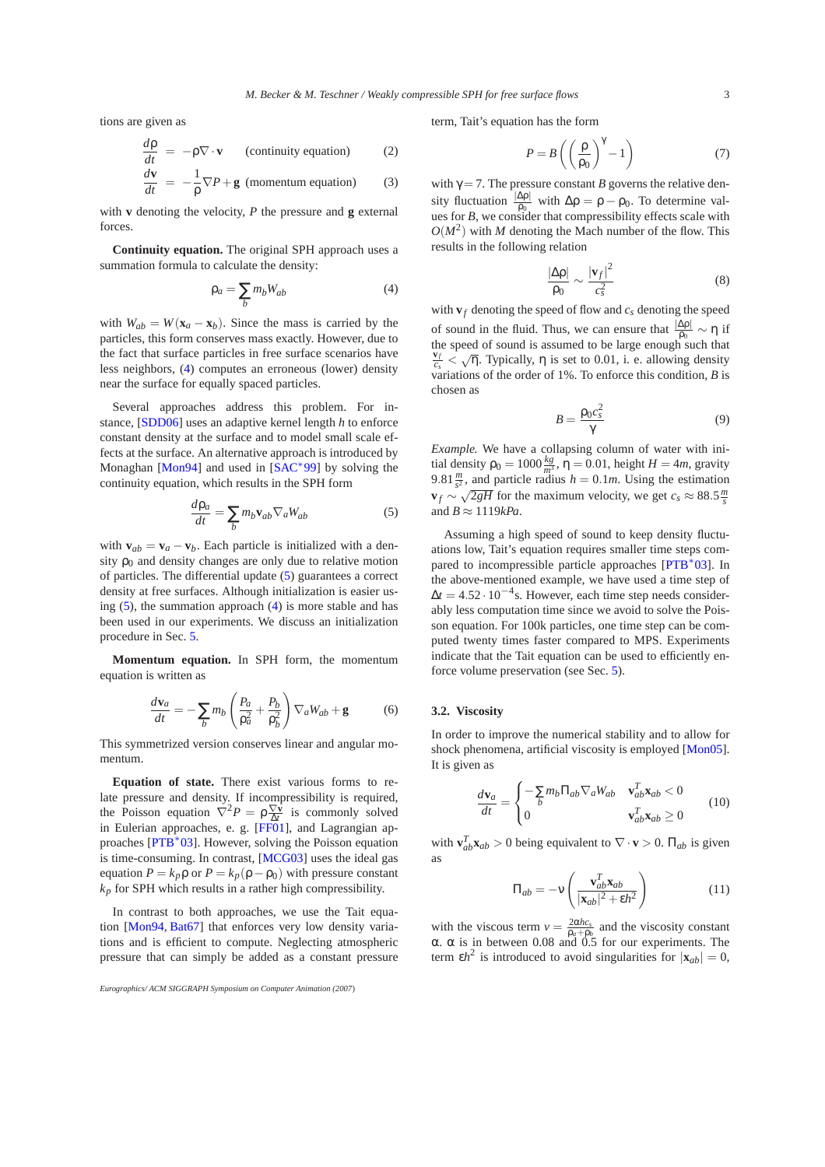tions are given as

$$
\frac{d\rho}{dt} = -\rho \nabla \cdot \mathbf{v} \qquad \text{(continuity equation)} \tag{2}
$$

$$
\frac{d\mathbf{v}}{dt} = -\frac{1}{\rho}\nabla P + \mathbf{g} \text{ (momentum equation)} \tag{3}
$$

with **v** denoting the velocity, *P* the pressure and **g** external forces.

**Continuity equation.** The original SPH approach uses a summation formula to calculate the density:

<span id="page-2-0"></span>
$$
\rho_a = \sum_b m_b W_{ab} \tag{4}
$$

with  $W_{ab} = W(\mathbf{x}_a - \mathbf{x}_b)$ . Since the mass is carried by the particles, this form conserves mass exactly. However, due to the fact that surface particles in free surface scenarios have less neighbors, [\(4\)](#page-2-0) computes an erroneous (lower) density near the surface for equally spaced particles.

Several approaches address this problem. For instance, [\[SDD06\]](#page-7-10) uses an adaptive kernel length *h* to enforce constant density at the surface and to model small scale effects at the surface. An alternative approach is introduced by Monaghan [\[Mon94\]](#page-6-4) and used in [\[SAC](#page-7-6)<sup>\*99</sup>] by solving the continuity equation, which results in the SPH form

<span id="page-2-1"></span>
$$
\frac{d\rho_a}{dt} = \sum_b m_b \mathbf{v}_{ab} \nabla_a W_{ab} \tag{5}
$$

with  $\mathbf{v}_{ab} = \mathbf{v}_a - \mathbf{v}_b$ . Each particle is initialized with a density  $\rho_0$  and density changes are only due to relative motion of particles. The differential update [\(5\)](#page-2-1) guarantees a correct density at free surfaces. Although initialization is easier using  $(5)$ , the summation approach  $(4)$  is more stable and has been used in our experiments. We discuss an initialization procedure in Sec. [5.](#page-3-0)

<span id="page-2-3"></span>**Momentum equation.** In SPH form, the momentum equation is written as

$$
\frac{d\mathbf{v}_a}{dt} = -\sum_b m_b \left(\frac{P_a}{\rho_a^2} + \frac{P_b}{\rho_b^2}\right) \nabla_a W_{ab} + \mathbf{g} \tag{6}
$$

This symmetrized version conserves linear and angular momentum.

**Equation of state.** There exist various forms to relate pressure and density. If incompressibility is required, the Poisson equation  $\nabla^2 P = \rho \frac{\nabla \bar{\mathbf{v}}}{\Delta t}$  is commonly solved in Eulerian approaches, e. g. [\[FF01\]](#page-6-12), and Lagrangian ap-proaches [\[PTB](#page-7-2)<sup>\*</sup>03]. However, solving the Poisson equation is time-consuming. In contrast, [\[MCG03\]](#page-6-1) uses the ideal gas equation  $P = k_p \rho$  or  $P = k_p(\rho - \rho_0)$  with pressure constant  $k_p$  for SPH which results in a rather high compressibility.

In contrast to both approaches, we use the Tait equation [\[Mon94,](#page-6-4) [Bat67\]](#page-5-4) that enforces very low density variations and is efficient to compute. Neglecting atmospheric pressure that can simply be added as a constant pressure term, Tait's equation has the form

$$
P = B\left(\left(\frac{\rho}{\rho_0}\right)^{\gamma} - 1\right) \tag{7}
$$

with  $\gamma = 7$ . The pressure constant *B* governs the relative density fluctuation  $\frac{|\Delta \rho|}{\rho_0}$  with  $\Delta \rho = \rho - \rho_0$ . To determine values for *B*, we consider that compressibility effects scale with  $O(M^2)$  with *M* denoting the Mach number of the flow. This results in the following relation

$$
\frac{|\Delta \rho|}{\rho_0} \sim \frac{|\mathbf{v}_f|^2}{c_s^2} \tag{8}
$$

with  $\mathbf{v}_f$  denoting the speed of flow and  $c_s$  denoting the speed of sound in the fluid. Thus, we can ensure that  $\frac{|\Delta p|}{\rho_0} \sim \eta$  if the speed of sound is assumed to be large enough such that  $\frac{\mathbf{v}_f}{c_s}$  <  $\sqrt{\eta}$ . Typically,  $\eta$  is set to 0.01, i. e. allowing density variations of the order of 1%. To enforce this condition, *B* is chosen as

$$
B = \frac{\rho_0 c_s^2}{\gamma} \tag{9}
$$

*Example.* We have a collapsing column of water with initial density  $\rho_0 = 1000 \frac{kg}{m^3}$ ,  $\eta = 0.01$ , height  $H = 4m$ , gravity 9.81 $\frac{m}{s^2}$ , and particle radius  $h = 0.1m$ . Using the estimation  $\mathbf{v}_f \sim \sqrt{2gH}$  for the maximum velocity, we get  $c_s \approx 88.5 \frac{m}{s}$ and  $B \approx 1119kPa$ .

Assuming a high speed of sound to keep density fluctuations low, Tait's equation requires smaller time steps com-pared to incompressible particle approaches [\[PTB](#page-7-2)<sup>\*</sup>03]. In the above-mentioned example, we have used a time step of  $\Delta t = 4.52 \cdot 10^{-4}$ s. However, each time step needs considerably less computation time since we avoid to solve the Poisson equation. For 100k particles, one time step can be computed twenty times faster compared to MPS. Experiments indicate that the Tait equation can be used to efficiently enforce volume preservation (see Sec. [5\)](#page-3-0).

### **3.2. Viscosity**

In order to improve the numerical stability and to allow for shock phenomena, artificial viscosity is employed [\[Mon05\]](#page-6-26). It is given as

$$
\frac{d\mathbf{v}_a}{dt} = \begin{cases}\n-\sum_{b} m_b \Pi_{ab} \nabla_a W_{ab} & \mathbf{v}_{ab}^T \mathbf{x}_{ab} < 0 \\
0 & \mathbf{v}_{ab}^T \mathbf{x}_{ab} \ge 0\n\end{cases}
$$
\n(10)

<span id="page-2-2"></span>with  $\mathbf{v}_{ab}^T \mathbf{x}_{ab} > 0$  being equivalent to  $\nabla \cdot \mathbf{v} > 0$ .  $\Pi_{ab}$  is given as

$$
\Pi_{ab} = -\mathbf{v} \left( \frac{\mathbf{v}_{ab}^T \mathbf{x}_{ab}}{|\mathbf{x}_{ab}|^2 + \varepsilon h^2} \right) \tag{11}
$$

with the viscous term  $v = \frac{2\alpha hc_s}{\rho_a + \rho_b}$  and the viscosity constant α. α is in between 0.08 and 0.5 for our experiments. The term  $\epsilon h^2$  is introduced to avoid singularities for  $|\mathbf{x}_{ab}| = 0$ ,

*Eurographics/ ACM SIGGRAPH Symposium on Computer Animation (2007*)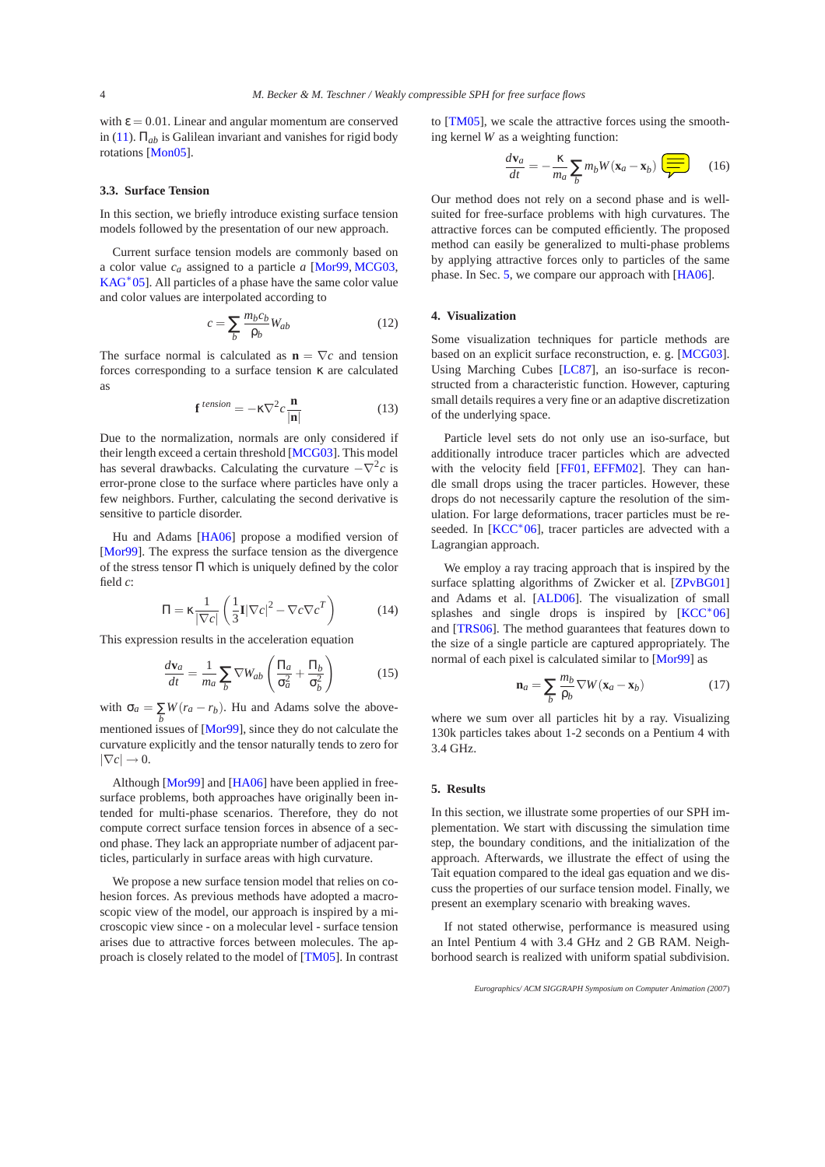with  $\epsilon = 0.01$ . Linear and angular momentum are conserved in [\(11\)](#page-2-2).  $\Pi_{ab}$  is Galilean invariant and vanishes for rigid body rotations [\[Mon05\]](#page-6-26).

# **3.3. Surface Tension**

In this section, we briefly introduce existing surface tension models followed by the presentation of our new approach.

Current surface tension models are commonly based on a color value *ca* assigned to a particle *a* [\[Mor99,](#page-6-5) [MCG03,](#page-6-1) [KAG](#page-6-2)<sup>\*</sup>05]. All particles of a phase have the same color value and color values are interpolated according to

$$
c = \sum_{b} \frac{m_b c_b}{\rho_b} W_{ab} \tag{12}
$$

The surface normal is calculated as  $\mathbf{n} = \nabla c$  and tension forces corresponding to a surface tension κ are calculated as

$$
\mathbf{f}^{tension} = -\kappa \nabla^2 c \frac{\mathbf{n}}{|\mathbf{n}|}
$$
 (13)

Due to the normalization, normals are only considered if their length exceed a certain threshold [\[MCG03\]](#page-6-1). This model has several drawbacks. Calculating the curvature  $-\nabla^2 c$  is error-prone close to the surface where particles have only a few neighbors. Further, calculating the second derivative is sensitive to particle disorder.

Hu and Adams [\[HA06\]](#page-6-6) propose a modified version of [\[Mor99\]](#page-6-5). The express the surface tension as the divergence of the stress tensor Π which is uniquely defined by the color field *c*:

$$
\Pi = \kappa \frac{1}{|\nabla c|} \left( \frac{1}{3} \mathbf{I} |\nabla c|^2 - \nabla c \nabla c^T \right) \tag{14}
$$

This expression results in the acceleration equation

$$
\frac{d\mathbf{v}_a}{dt} = \frac{1}{m_a} \sum_b \nabla W_{ab} \left( \frac{\Pi_a}{\sigma_a^2} + \frac{\Pi_b}{\sigma_b^2} \right) \tag{15}
$$

with  $\sigma_a = \sum_b W(r_a - r_b)$ . Hu and Adams solve the abovementioned issues of [\[Mor99\]](#page-6-5), since they do not calculate the curvature explicitly and the tensor naturally tends to zero for  $|\nabla c| \rightarrow 0.$ 

Although [\[Mor99\]](#page-6-5) and [\[HA06\]](#page-6-6) have been applied in freesurface problems, both approaches have originally been intended for multi-phase scenarios. Therefore, they do not compute correct surface tension forces in absence of a second phase. They lack an appropriate number of adjacent particles, particularly in surface areas with high curvature.

We propose a new surface tension model that relies on cohesion forces. As previous methods have adopted a macroscopic view of the model, our approach is inspired by a microscopic view since - on a molecular level - surface tension arises due to attractive forces between molecules. The approach is closely related to the model of [\[TM05\]](#page-7-11). In contrast to [\[TM05\]](#page-7-11), we scale the attractive forces using the smoothing kernel *W* as a weighting function:

$$
\frac{d\mathbf{v}_a}{dt} = -\frac{\kappa}{m_a} \sum_b m_b W(\mathbf{x}_a - \mathbf{x}_b) \overline{=} \qquad (16)
$$

Our method does not rely on a second phase and is wellsuited for free-surface problems with high curvatures. The attractive forces can be computed efficiently. The proposed method can easily be generalized to multi-phase problems by applying attractive forces only to particles of the same phase. In Sec. [5,](#page-3-0) we compare our approach with [\[HA06\]](#page-6-6).

## **4. Visualization**

Some visualization techniques for particle methods are based on an explicit surface reconstruction, e. g. [\[MCG03\]](#page-6-1). Using Marching Cubes [\[LC87\]](#page-6-28), an iso-surface is reconstructed from a characteristic function. However, capturing small details requires a very fine or an adaptive discretization of the underlying space.

Particle level sets do not only use an iso-surface, but additionally introduce tracer particles which are advected with the velocity field [\[FF01,](#page-6-12) [EFFM02\]](#page-6-13). They can handle small drops using the tracer particles. However, these drops do not necessarily capture the resolution of the simulation. For large deformations, tracer particles must be re-seeded. In [\[KCC](#page-6-29)<sup>\*</sup>06], tracer particles are advected with a Lagrangian approach.

We employ a ray tracing approach that is inspired by the surface splatting algorithms of Zwicker et al. [\[ZPvBG01\]](#page-7-12) and Adams et al. [\[ALD06\]](#page-5-5). The visualization of small splashes and single drops is inspired by  $[KCC^*06]$ and [\[TRS06\]](#page-7-13). The method guarantees that features down to the size of a single particle are captured appropriately. The normal of each pixel is calculated similar to [\[Mor99\]](#page-6-5) as

$$
\mathbf{n}_a = \sum_b \frac{m_b}{\rho_b} \nabla W(\mathbf{x}_a - \mathbf{x}_b)
$$
 (17)

where we sum over all particles hit by a ray. Visualizing 130k particles takes about 1-2 seconds on a Pentium 4 with 3.4 GHz.

# <span id="page-3-0"></span>**5. Results**

In this section, we illustrate some properties of our SPH implementation. We start with discussing the simulation time step, the boundary conditions, and the initialization of the approach. Afterwards, we illustrate the effect of using the Tait equation compared to the ideal gas equation and we discuss the properties of our surface tension model. Finally, we present an exemplary scenario with breaking waves.

If not stated otherwise, performance is measured using an Intel Pentium 4 with 3.4 GHz and 2 GB RAM. Neighborhood search is realized with uniform spatial subdivision.

*Eurographics/ ACM SIGGRAPH Symposium on Computer Animation (2007*)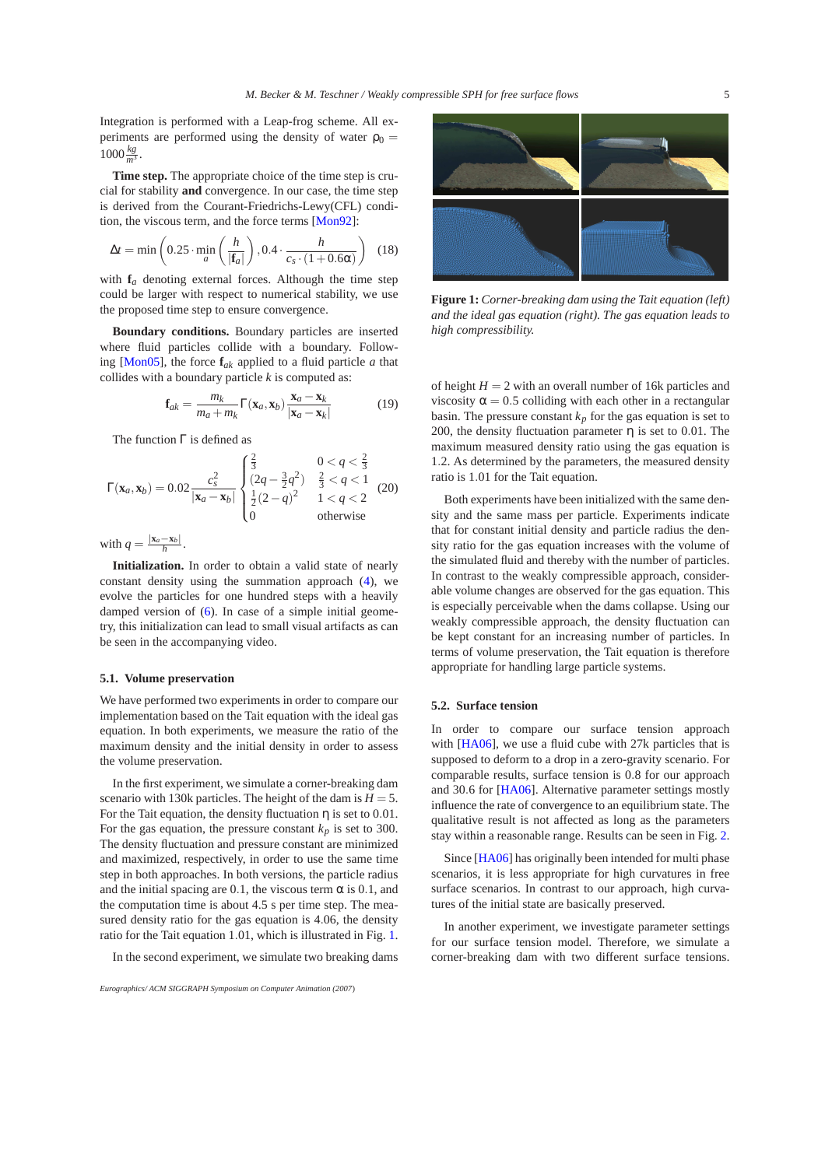Integration is performed with a Leap-frog scheme. All experiments are performed using the density of water  $\rho_0 =$  $1000 \frac{kg}{m^3}$ .

**Time step.** The appropriate choice of the time step is crucial for stability **and** convergence. In our case, the time step is derived from the Courant-Friedrichs-Lewy(CFL) condition, the viscous term, and the force terms [\[Mon92\]](#page-6-30):

$$
\Delta t = \min\left(0.25 \cdot \min_{a} \left(\frac{h}{|\mathbf{f}_a|}\right), 0.4 \cdot \frac{h}{c_s \cdot (1 + 0.6\alpha)}\right) \tag{18}
$$

with  $f_a$  denoting external forces. Although the time step could be larger with respect to numerical stability, we use the proposed time step to ensure convergence.

**Boundary conditions.** Boundary particles are inserted where fluid particles collide with a boundary. Follow-ing [\[Mon05\]](#page-6-26), the force  $f_{ak}$  applied to a fluid particle *a* that collides with a boundary particle *k* is computed as:

$$
\mathbf{f}_{ak} = \frac{m_k}{m_a + m_k} \Gamma(\mathbf{x}_a, \mathbf{x}_b) \frac{\mathbf{x}_a - \mathbf{x}_k}{|\mathbf{x}_a - \mathbf{x}_k|}
$$
(19)

The function Γ is defined as

$$
\Gamma(\mathbf{x}_a, \mathbf{x}_b) = 0.02 \frac{c_s^2}{|\mathbf{x}_a - \mathbf{x}_b|} \begin{cases} \frac{2}{3} & 0 < q < \frac{2}{3} \\ (2q - \frac{3}{2}q^2) & \frac{2}{3} < q < 1 \\ \frac{1}{2}(2-q)^2 & 1 < q < 2 \\ 0 & \text{otherwise} \end{cases} \tag{20}
$$

with  $q = \frac{|\mathbf{x}_a - \mathbf{x}_b|}{h}$ .

**Initialization.** In order to obtain a valid state of nearly constant density using the summation approach [\(4\)](#page-2-0), we evolve the particles for one hundred steps with a heavily damped version of [\(6\)](#page-2-3). In case of a simple initial geometry, this initialization can lead to small visual artifacts as can be seen in the accompanying video.

#### **5.1. Volume preservation**

We have performed two experiments in order to compare our implementation based on the Tait equation with the ideal gas equation. In both experiments, we measure the ratio of the maximum density and the initial density in order to assess the volume preservation.

In the first experiment, we simulate a corner-breaking dam scenario with 130k particles. The height of the dam is  $H = 5$ . For the Tait equation, the density fluctuation  $\eta$  is set to 0.01. For the gas equation, the pressure constant  $k_p$  is set to 300. The density fluctuation and pressure constant are minimized and maximized, respectively, in order to use the same time step in both approaches. In both versions, the particle radius and the initial spacing are 0.1, the viscous term  $\alpha$  is 0.1, and the computation time is about 4.5 s per time step. The measured density ratio for the gas equation is 4.06, the density ratio for the Tait equation 1.01, which is illustrated in Fig. [1.](#page-4-0)

In the second experiment, we simulate two breaking dams



**Figure 1:** *Corner-breaking dam using the Tait equation (left) and the ideal gas equation (right). The gas equation leads to high compressibility.*

<span id="page-4-0"></span>of height  $H = 2$  with an overall number of 16k particles and viscosity  $\alpha = 0.5$  colliding with each other in a rectangular basin. The pressure constant  $k_p$  for the gas equation is set to 200, the density fluctuation parameter  $\eta$  is set to 0.01. The maximum measured density ratio using the gas equation is 1.2. As determined by the parameters, the measured density ratio is 1.01 for the Tait equation.

Both experiments have been initialized with the same density and the same mass per particle. Experiments indicate that for constant initial density and particle radius the density ratio for the gas equation increases with the volume of the simulated fluid and thereby with the number of particles. In contrast to the weakly compressible approach, considerable volume changes are observed for the gas equation. This is especially perceivable when the dams collapse. Using our weakly compressible approach, the density fluctuation can be kept constant for an increasing number of particles. In terms of volume preservation, the Tait equation is therefore appropriate for handling large particle systems.

### **5.2. Surface tension**

In order to compare our surface tension approach with [\[HA06\]](#page-6-6), we use a fluid cube with 27k particles that is supposed to deform to a drop in a zero-gravity scenario. For comparable results, surface tension is 0.8 for our approach and 30.6 for [\[HA06\]](#page-6-6). Alternative parameter settings mostly influence the rate of convergence to an equilibrium state. The qualitative result is not affected as long as the parameters stay within a reasonable range. Results can be seen in Fig. [2.](#page-5-6)

Since [\[HA06\]](#page-6-6) has originally been intended for multi phase scenarios, it is less appropriate for high curvatures in free surface scenarios. In contrast to our approach, high curvatures of the initial state are basically preserved.

In another experiment, we investigate parameter settings for our surface tension model. Therefore, we simulate a corner-breaking dam with two different surface tensions.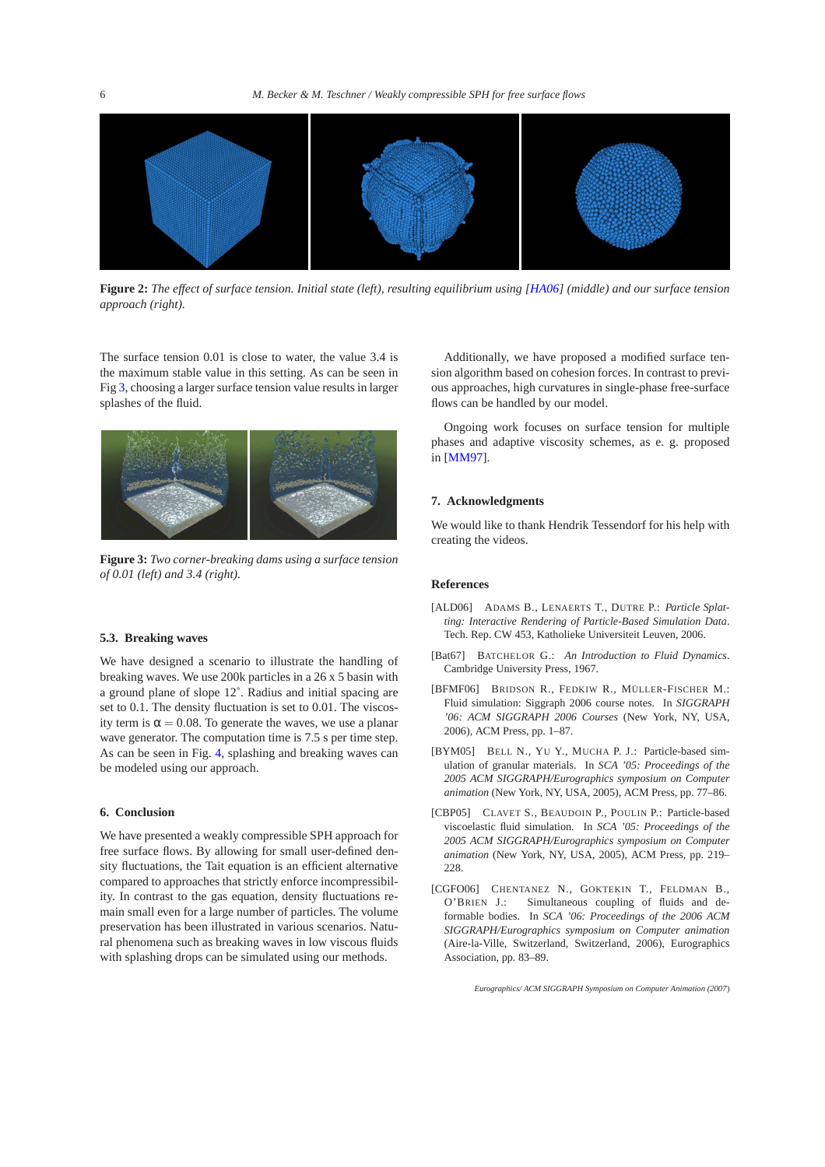

<span id="page-5-6"></span>**Figure 2:** *The effect of surface tension. Initial state (left), resulting equilibrium using [\[HA06\]](#page-6-6) (middle) and our surface tension approach (right).*

The surface tension 0.01 is close to water, the value 3.4 is the maximum stable value in this setting. As can be seen in Fig [3,](#page-5-7) choosing a larger surface tension value results in larger splashes of the fluid.



<span id="page-5-7"></span>**Figure 3:** *Two corner-breaking dams using a surface tension of 0.01 (left) and 3.4 (right).*

#### **5.3. Breaking waves**

We have designed a scenario to illustrate the handling of breaking waves. We use 200k particles in a 26 x 5 basin with a ground plane of slope 12˚. Radius and initial spacing are set to 0.1. The density fluctuation is set to 0.01. The viscosity term is  $\alpha = 0.08$ . To generate the waves, we use a planar wave generator. The computation time is 7.5 s per time step. As can be seen in Fig. [4,](#page-8-0) splashing and breaking waves can be modeled using our approach.

#### **6. Conclusion**

We have presented a weakly compressible SPH approach for free surface flows. By allowing for small user-defined density fluctuations, the Tait equation is an efficient alternative compared to approaches that strictly enforce incompressibility. In contrast to the gas equation, density fluctuations remain small even for a large number of particles. The volume preservation has been illustrated in various scenarios. Natural phenomena such as breaking waves in low viscous fluids with splashing drops can be simulated using our methods.

Additionally, we have proposed a modified surface tension algorithm based on cohesion forces. In contrast to previous approaches, high curvatures in single-phase free-surface flows can be handled by our model.

Ongoing work focuses on surface tension for multiple phases and adaptive viscosity schemes, as e. g. proposed in [\[MM97\]](#page-6-31).

#### **7. Acknowledgments**

We would like to thank Hendrik Tessendorf for his help with creating the videos.

## **References**

- <span id="page-5-5"></span>[ALD06] ADAMS B., LENAERTS T., DUTRE P.: *Particle Splatting: Interactive Rendering of Particle-Based Simulation Data*. Tech. Rep. CW 453, Katholieke Universiteit Leuven, 2006.
- <span id="page-5-4"></span>[Bat67] BATCHELOR G.: *An Introduction to Fluid Dynamics*. Cambridge University Press, 1967.
- <span id="page-5-0"></span>[BFMF06] BRIDSON R., FEDKIW R., MÜLLER-FISCHER M.: Fluid simulation: Siggraph 2006 course notes. In *SIGGRAPH '06: ACM SIGGRAPH 2006 Courses* (New York, NY, USA, 2006), ACM Press, pp. 1–87.
- <span id="page-5-3"></span>[BYM05] BELL N., YU Y., MUCHA P. J.: Particle-based simulation of granular materials. In *SCA '05: Proceedings of the 2005 ACM SIGGRAPH/Eurographics symposium on Computer animation* (New York, NY, USA, 2005), ACM Press, pp. 77–86.
- <span id="page-5-2"></span>[CBP05] CLAVET S., BEAUDOIN P., POULIN P.: Particle-based viscoelastic fluid simulation. In *SCA '05: Proceedings of the 2005 ACM SIGGRAPH/Eurographics symposium on Computer animation* (New York, NY, USA, 2005), ACM Press, pp. 219– 228.
- <span id="page-5-1"></span>[CGFO06] CHENTANEZ N., GOKTEKIN T., FELDMAN B., O'BRIEN J.: Simultaneous coupling of fluids and deformable bodies. In *SCA '06: Proceedings of the 2006 ACM SIGGRAPH/Eurographics symposium on Computer animation* (Aire-la-Ville, Switzerland, Switzerland, 2006), Eurographics Association, pp. 83–89.

*Eurographics/ ACM SIGGRAPH Symposium on Computer Animation (2007*)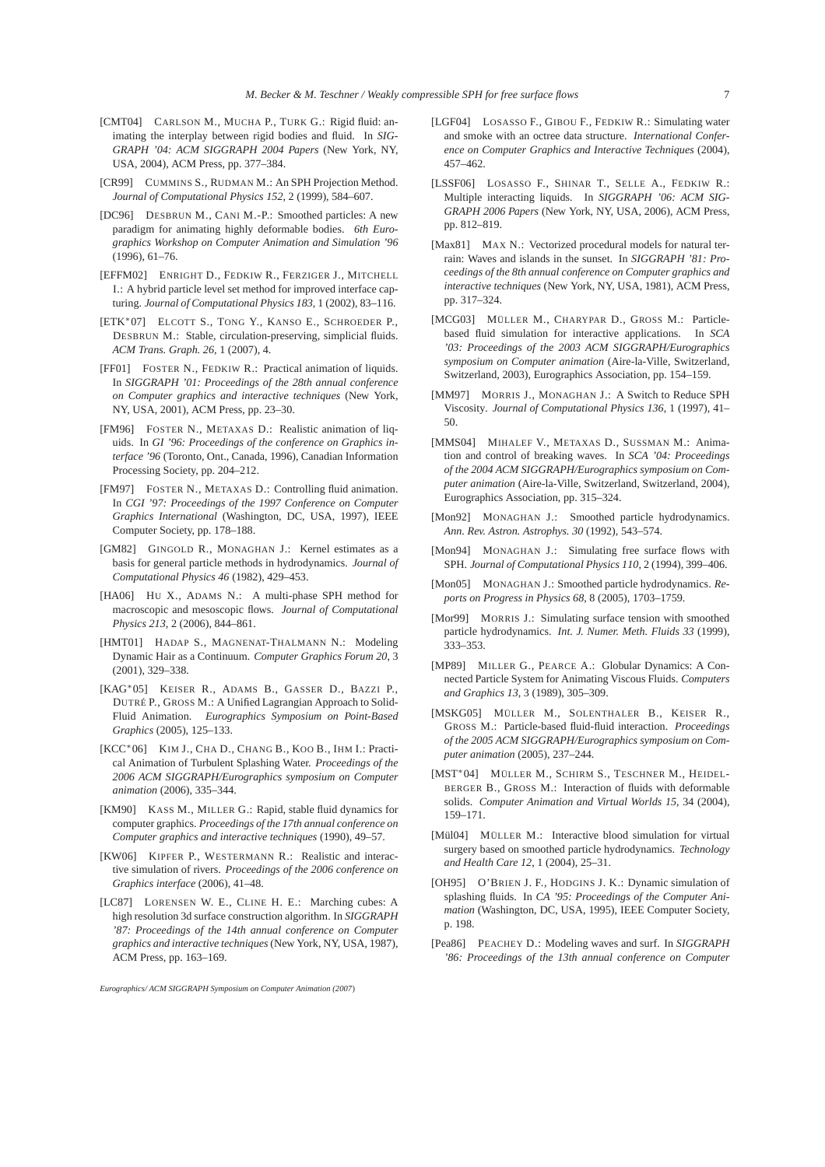- <span id="page-6-16"></span>[CMT04] CARLSON M., MUCHA P., TURK G.: Rigid fluid: animating the interplay between rigid bodies and fluid. In *SIG-GRAPH '04: ACM SIGGRAPH 2004 Papers* (New York, NY, USA, 2004), ACM Press, pp. 377–384.
- <span id="page-6-3"></span>[CR99] CUMMINS S., RUDMAN M.: An SPH Projection Method. *Journal of Computational Physics 152*, 2 (1999), 584–607.
- <span id="page-6-22"></span>[DC96] DESBRUN M., CANI M.-P.: Smoothed particles: A new paradigm for animating highly deformable bodies. *6th Eurographics Workshop on Computer Animation and Simulation '96* (1996), 61–76.
- <span id="page-6-13"></span>[EFFM02] ENRIGHT D., FEDKIW R., FERZIGER J., MITCHELL I.: A hybrid particle level set method for improved interface capturing. *Journal of Computational Physics 183*, 1 (2002), 83–116.
- <span id="page-6-14"></span>[ETK∗07] ELCOTT S., TONG Y., KANSO E., SCHROEDER P., DESBRUN M.: Stable, circulation-preserving, simplicial fluids. *ACM Trans. Graph. 26*, 1 (2007), 4.
- <span id="page-6-12"></span>[FF01] FOSTER N., FEDKIW R.: Practical animation of liquids. In *SIGGRAPH '01: Proceedings of the 28th annual conference on Computer graphics and interactive techniques* (New York, NY, USA, 2001), ACM Press, pp. 23–30.
- <span id="page-6-10"></span>[FM96] FOSTER N., METAXAS D.: Realistic animation of liquids. In *GI '96: Proceedings of the conference on Graphics interface '96* (Toronto, Ont., Canada, 1996), Canadian Information Processing Society, pp. 204–212.
- <span id="page-6-11"></span>[FM97] FOSTER N., METAXAS D.: Controlling fluid animation. In *CGI '97: Proceedings of the 1997 Conference on Computer Graphics International* (Washington, DC, USA, 1997), IEEE Computer Society, pp. 178–188.
- <span id="page-6-27"></span>[GM82] GINGOLD R., MONAGHAN J.: Kernel estimates as a basis for general particle methods in hydrodynamics. *Journal of Computational Physics 46* (1982), 429–453.
- <span id="page-6-6"></span>[HA06] HU X., ADAMS N.: A multi-phase SPH method for macroscopic and mesoscopic flows. *Journal of Computational Physics 213*, 2 (2006), 844–861.
- <span id="page-6-23"></span>[HMT01] HADAP S., MAGNENAT-THALMANN N.: Modeling Dynamic Hair as a Continuum. *Computer Graphics Forum 20*, 3 (2001), 329–338.
- <span id="page-6-2"></span>[KAG∗05] KEISER R., ADAMS B., GASSER D., BAZZI P., DUTRÉ P., GROSS M.: A Unified Lagrangian Approach to Solid-Fluid Animation. *Eurographics Symposium on Point-Based Graphics* (2005), 125–133.
- <span id="page-6-29"></span>[KCC∗06] KIM J., CHA D., CHANG B., KOO B., IHM I.: Practical Animation of Turbulent Splashing Water. *Proceedings of the 2006 ACM SIGGRAPH/Eurographics symposium on Computer animation* (2006), 335–344.
- <span id="page-6-9"></span>[KM90] KASS M., MILLER G.: Rapid, stable fluid dynamics for computer graphics. *Proceedings of the 17th annual conference on Computer graphics and interactive techniques* (1990), 49–57.
- <span id="page-6-20"></span>[KW06] KIPFER P., WESTERMANN R.: Realistic and interactive simulation of rivers. *Proceedings of the 2006 conference on Graphics interface* (2006), 41–48.
- <span id="page-6-28"></span>[LC87] LORENSEN W. E., CLINE H. E.: Marching cubes: A high resolution 3d surface construction algorithm. In *SIGGRAPH '87: Proceedings of the 14th annual conference on Computer graphics and interactive techniques*(New York, NY, USA, 1987), ACM Press, pp. 163–169.

*Eurographics/ ACM SIGGRAPH Symposium on Computer Animation (2007*)

- <span id="page-6-17"></span>[LGF04] LOSASSO F., GIBOU F., FEDKIW R.: Simulating water and smoke with an octree data structure. *International Conference on Computer Graphics and Interactive Techniques* (2004), 457–462.
- <span id="page-6-15"></span>[LSSF06] LOSASSO F., SHINAR T., SELLE A., FEDKIW R.: Multiple interacting liquids. In *SIGGRAPH '06: ACM SIG-GRAPH 2006 Papers* (New York, NY, USA, 2006), ACM Press, pp. 812–819.
- <span id="page-6-7"></span>[Max81] MAX N.: Vectorized procedural models for natural terrain: Waves and islands in the sunset. In *SIGGRAPH '81: Proceedings of the 8th annual conference on Computer graphics and interactive techniques* (New York, NY, USA, 1981), ACM Press, pp. 317–324.
- <span id="page-6-1"></span>[MCG03] MÜLLER M., CHARYPAR D., GROSS M.: Particlebased fluid simulation for interactive applications. In *SCA '03: Proceedings of the 2003 ACM SIGGRAPH/Eurographics symposium on Computer animation* (Aire-la-Ville, Switzerland, Switzerland, 2003), Eurographics Association, pp. 154–159.
- <span id="page-6-31"></span>[MM97] MORRIS J., MONAGHAN J.: A Switch to Reduce SPH Viscosity. *Journal of Computational Physics 136*, 1 (1997), 41– 50.
- <span id="page-6-19"></span>[MMS04] MIHALEF V., METAXAS D., SUSSMAN M.: Animation and control of breaking waves. In *SCA '04: Proceedings of the 2004 ACM SIGGRAPH/Eurographics symposium on Computer animation* (Aire-la-Ville, Switzerland, Switzerland, 2004), Eurographics Association, pp. 315–324.
- <span id="page-6-30"></span>[Mon92] MONAGHAN J.: Smoothed particle hydrodynamics. *Ann. Rev. Astron. Astrophys. 30* (1992), 543–574.
- <span id="page-6-4"></span>[Mon94] MONAGHAN J.: Simulating free surface flows with SPH. *Journal of Computational Physics 110*, 2 (1994), 399–406.
- <span id="page-6-26"></span>[Mon05] MONAGHAN J.: Smoothed particle hydrodynamics. *Reports on Progress in Physics 68*, 8 (2005), 1703–1759.
- <span id="page-6-5"></span>[Mor99] MORRIS J.: Simulating surface tension with smoothed particle hydrodynamics. *Int. J. Numer. Meth. Fluids 33* (1999), 333–353.
- <span id="page-6-0"></span>[MP89] MILLER G., PEARCE A.: Globular Dynamics: A Connected Particle System for Animating Viscous Fluids. *Computers and Graphics 13*, 3 (1989), 305–309.
- <span id="page-6-21"></span>[MSKG05] MÜLLER M., SOLENTHALER B., KEISER R., GROSS M.: Particle-based fluid-fluid interaction. *Proceedings of the 2005 ACM SIGGRAPH/Eurographics symposium on Computer animation* (2005), 237–244.
- <span id="page-6-24"></span>[MST∗04] MÜLLER M., SCHIRM S., TESCHNER M., HEIDEL-BERGER B., GROSS M.: Interaction of fluids with deformable solids. *Computer Animation and Virtual Worlds 15*, 34 (2004), 159–171.
- <span id="page-6-25"></span>[Mül04] MÜLLER M.: Interactive blood simulation for virtual surgery based on smoothed particle hydrodynamics. *Technology and Health Care 12*, 1 (2004), 25–31.
- <span id="page-6-18"></span>[OH95] O'BRIEN J. F., HODGINS J. K.: Dynamic simulation of splashing fluids. In *CA '95: Proceedings of the Computer Animation* (Washington, DC, USA, 1995), IEEE Computer Society, p. 198.
- <span id="page-6-8"></span>[Pea86] PEACHEY D.: Modeling waves and surf. In *SIGGRAPH '86: Proceedings of the 13th annual conference on Computer*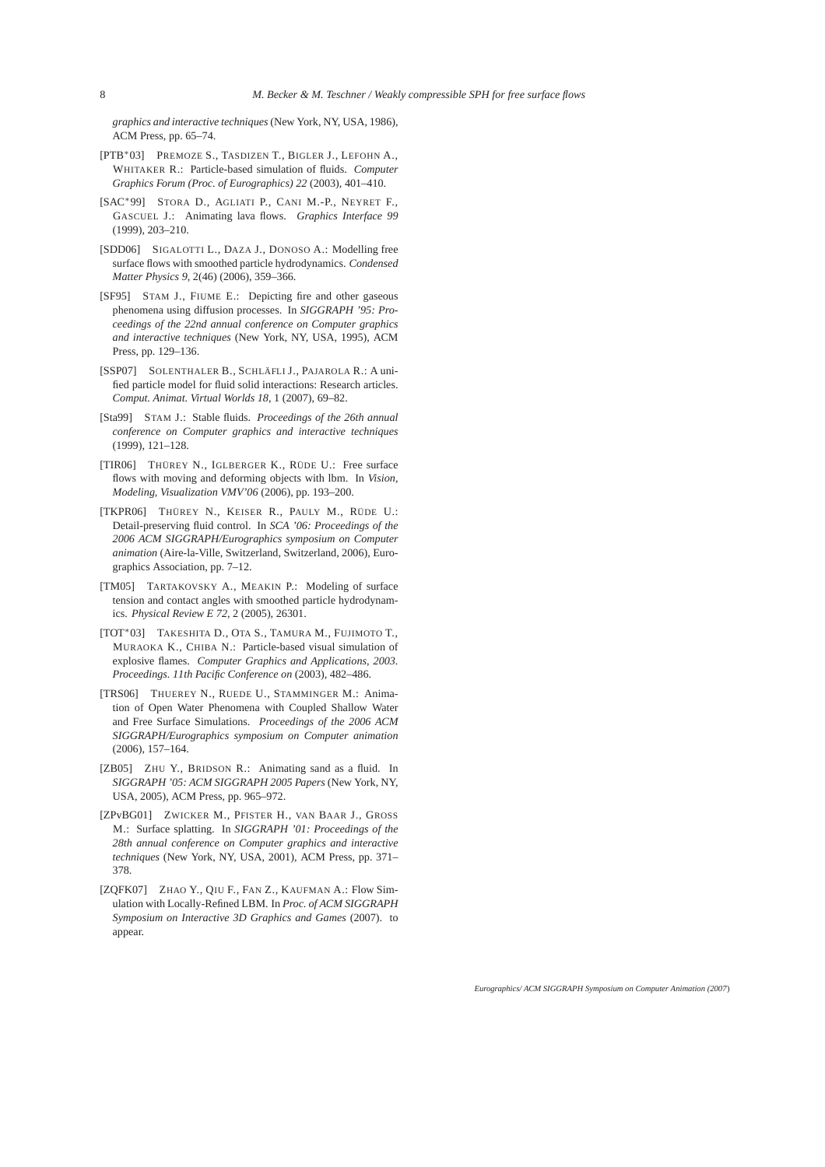*graphics and interactive techniques*(New York, NY, USA, 1986), ACM Press, pp. 65–74.

- <span id="page-7-2"></span>[PTB∗03] PREMOZE S., TASDIZEN T., BIGLER J., LEFOHN A., WHITAKER R.: Particle-based simulation of fluids. *Computer Graphics Forum (Proc. of Eurographics) 22* (2003), 401–410.
- <span id="page-7-6"></span>[SAC∗99] STORA D., AGLIATI P., CANI M.-P., NEYRET F., GASCUEL J.: Animating lava flows. *Graphics Interface 99* (1999), 203–210.
- <span id="page-7-10"></span>[SDD06] SIGALOTTI L., DAZA J., DONOSO A.: Modelling free surface flows with smoothed particle hydrodynamics. *Condensed Matter Physics 9*, 2(46) (2006), 359–366.
- <span id="page-7-0"></span>[SF95] STAM J., FIUME E.: Depicting fire and other gaseous phenomena using diffusion processes. In *SIGGRAPH '95: Proceedings of the 22nd annual conference on Computer graphics and interactive techniques* (New York, NY, USA, 1995), ACM Press, pp. 129–136.
- <span id="page-7-8"></span>[SSP07] SOLENTHALER B., SCHLÄFLI J., PAJAROLA R.: A unified particle model for fluid solid interactions: Research articles. *Comput. Animat. Virtual Worlds 18*, 1 (2007), 69–82.
- <span id="page-7-3"></span>[Sta99] STAM J.: Stable fluids. *Proceedings of the 26th annual conference on Computer graphics and interactive techniques* (1999), 121–128.
- <span id="page-7-4"></span>[TIR06] THÜREY N., IGLBERGER K., RÜDE U.: Free surface flows with moving and deforming objects with lbm. In *Vision, Modeling, Visualization VMV'06* (2006), pp. 193–200.
- <span id="page-7-7"></span>[TKPR06] THÜREY N., KEISER R., PAULY M., RÜDE U.: Detail-preserving fluid control. In *SCA '06: Proceedings of the 2006 ACM SIGGRAPH/Eurographics symposium on Computer animation* (Aire-la-Ville, Switzerland, Switzerland, 2006), Eurographics Association, pp. 7–12.
- <span id="page-7-11"></span>[TM05] TARTAKOVSKY A., MEAKIN P.: Modeling of surface tension and contact angles with smoothed particle hydrodynamics. *Physical Review E 72*, 2 (2005), 26301.
- <span id="page-7-1"></span>[TOT∗03] TAKESHITA D., OTA S., TAMURA M., FUJIMOTO T., MURAOKA K., CHIBA N.: Particle-based visual simulation of explosive flames. *Computer Graphics and Applications, 2003. Proceedings. 11th Pacific Conference on* (2003), 482–486.
- <span id="page-7-13"></span>[TRS06] THUEREY N., RUEDE U., STAMMINGER M.: Animation of Open Water Phenomena with Coupled Shallow Water and Free Surface Simulations. *Proceedings of the 2006 ACM SIGGRAPH/Eurographics symposium on Computer animation* (2006), 157–164.
- <span id="page-7-9"></span>[ZB05] ZHU Y., BRIDSON R.: Animating sand as a fluid. In *SIGGRAPH '05: ACM SIGGRAPH 2005 Papers* (New York, NY, USA, 2005), ACM Press, pp. 965–972.
- <span id="page-7-12"></span>[ZPvBG01] ZWICKER M., PFISTER H., VAN BAAR J., GROSS M.: Surface splatting. In *SIGGRAPH '01: Proceedings of the 28th annual conference on Computer graphics and interactive techniques* (New York, NY, USA, 2001), ACM Press, pp. 371– 378.
- <span id="page-7-5"></span>[ZQFK07] ZHAO Y., QIU F., FAN Z., KAUFMAN A.: Flow Simulation with Locally-Refined LBM. In *Proc. of ACM SIGGRAPH Symposium on Interactive 3D Graphics and Games* (2007). to appear.